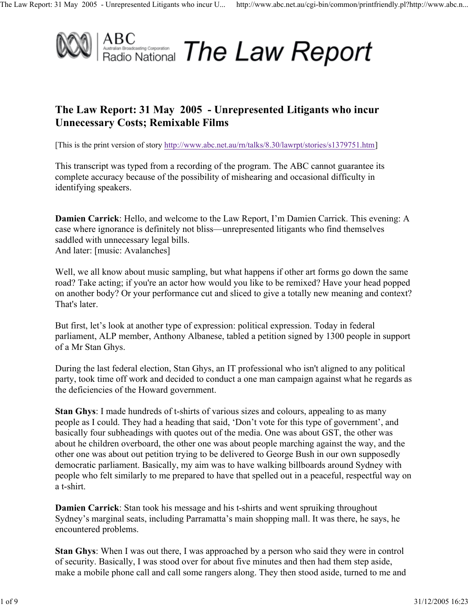

## **The Law Report: 31 May 2005 - Unrepresented Litigants who incur Unnecessary Costs; Remixable Films**

[This is the print version of story http://www.abc.net.au/rn/talks/8.30/lawrpt/stories/s1379751.htm]

This transcript was typed from a recording of the program. The ABC cannot guarantee its complete accuracy because of the possibility of mishearing and occasional difficulty in identifying speakers.

**Damien Carrick**: Hello, and welcome to the Law Report, I'm Damien Carrick. This evening: A case where ignorance is definitely not bliss—unrepresented litigants who find themselves saddled with unnecessary legal bills. And later: [music: Avalanches]

Well, we all know about music sampling, but what happens if other art forms go down the same road? Take acting; if you're an actor how would you like to be remixed? Have your head popped on another body? Or your performance cut and sliced to give a totally new meaning and context? That's later.

But first, let's look at another type of expression: political expression. Today in federal parliament, ALP member, Anthony Albanese, tabled a petition signed by 1300 people in support of a Mr Stan Ghys.

During the last federal election, Stan Ghys, an IT professional who isn't aligned to any political party, took time off work and decided to conduct a one man campaign against what he regards as the deficiencies of the Howard government.

**Stan Ghys**: I made hundreds of t-shirts of various sizes and colours, appealing to as many people as I could. They had a heading that said, 'Don't vote for this type of government', and basically four subheadings with quotes out of the media. One was about GST, the other was about he children overboard, the other one was about people marching against the way, and the other one was about out petition trying to be delivered to George Bush in our own supposedly democratic parliament. Basically, my aim was to have walking billboards around Sydney with people who felt similarly to me prepared to have that spelled out in a peaceful, respectful way on a t-shirt.

**Damien Carrick**: Stan took his message and his t-shirts and went spruiking throughout Sydney's marginal seats, including Parramatta's main shopping mall. It was there, he says, he encountered problems.

**Stan Ghys**: When I was out there, I was approached by a person who said they were in control of security. Basically, I was stood over for about five minutes and then had them step aside, make a mobile phone call and call some rangers along. They then stood aside, turned to me and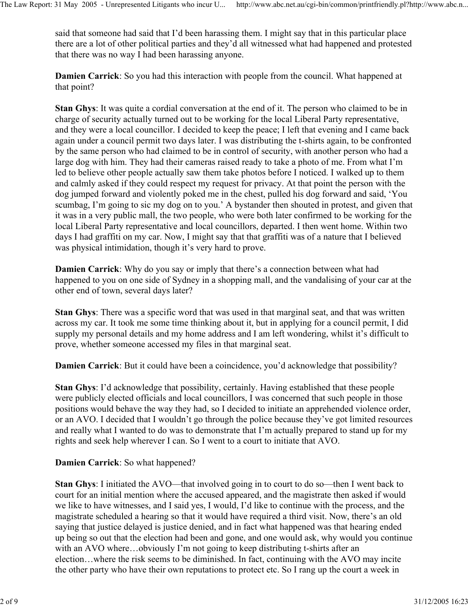said that someone had said that I'd been harassing them. I might say that in this particular place there are a lot of other political parties and they'd all witnessed what had happened and protested that there was no way I had been harassing anyone.

**Damien Carrick**: So you had this interaction with people from the council. What happened at that point?

**Stan Ghys**: It was quite a cordial conversation at the end of it. The person who claimed to be in charge of security actually turned out to be working for the local Liberal Party representative, and they were a local councillor. I decided to keep the peace; I left that evening and I came back again under a council permit two days later. I was distributing the t-shirts again, to be confronted by the same person who had claimed to be in control of security, with another person who had a large dog with him. They had their cameras raised ready to take a photo of me. From what I'm led to believe other people actually saw them take photos before I noticed. I walked up to them and calmly asked if they could respect my request for privacy. At that point the person with the dog jumped forward and violently poked me in the chest, pulled his dog forward and said, 'You scumbag, I'm going to sic my dog on to you.' A bystander then shouted in protest, and given that it was in a very public mall, the two people, who were both later confirmed to be working for the local Liberal Party representative and local councillors, departed. I then went home. Within two days I had graffiti on my car. Now, I might say that that graffiti was of a nature that I believed was physical intimidation, though it's very hard to prove.

**Damien Carrick**: Why do you say or imply that there's a connection between what had happened to you on one side of Sydney in a shopping mall, and the vandalising of your car at the other end of town, several days later?

**Stan Ghys**: There was a specific word that was used in that marginal seat, and that was written across my car. It took me some time thinking about it, but in applying for a council permit, I did supply my personal details and my home address and I am left wondering, whilst it's difficult to prove, whether someone accessed my files in that marginal seat.

**Damien Carrick**: But it could have been a coincidence, you'd acknowledge that possibility?

**Stan Ghys**: I'd acknowledge that possibility, certainly. Having established that these people were publicly elected officials and local councillors, I was concerned that such people in those positions would behave the way they had, so I decided to initiate an apprehended violence order, or an AVO. I decided that I wouldn't go through the police because they've got limited resources and really what I wanted to do was to demonstrate that I'm actually prepared to stand up for my rights and seek help wherever I can. So I went to a court to initiate that AVO.

## **Damien Carrick**: So what happened?

**Stan Ghys**: I initiated the AVO—that involved going in to court to do so—then I went back to court for an initial mention where the accused appeared, and the magistrate then asked if would we like to have witnesses, and I said yes, I would, I'd like to continue with the process, and the magistrate scheduled a hearing so that it would have required a third visit. Now, there's an old saying that justice delayed is justice denied, and in fact what happened was that hearing ended up being so out that the election had been and gone, and one would ask, why would you continue with an AVO where...obviously I'm not going to keep distributing t-shirts after an election…where the risk seems to be diminished. In fact, continuing with the AVO may incite the other party who have their own reputations to protect etc. So I rang up the court a week in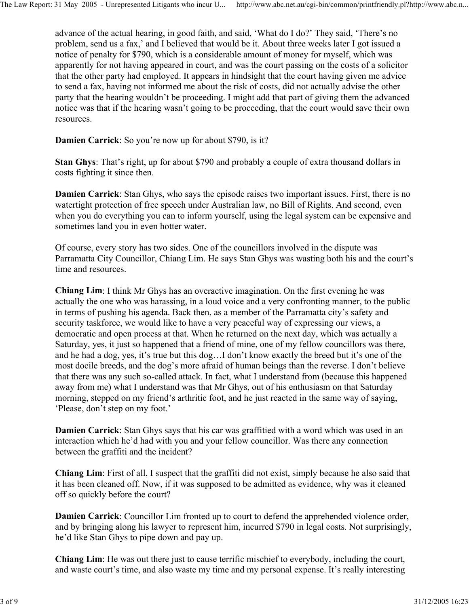advance of the actual hearing, in good faith, and said, 'What do I do?' They said, 'There's no problem, send us a fax,' and I believed that would be it. About three weeks later I got issued a notice of penalty for \$790, which is a considerable amount of money for myself, which was apparently for not having appeared in court, and was the court passing on the costs of a solicitor that the other party had employed. It appears in hindsight that the court having given me advice to send a fax, having not informed me about the risk of costs, did not actually advise the other party that the hearing wouldn't be proceeding. I might add that part of giving them the advanced notice was that if the hearing wasn't going to be proceeding, that the court would save their own resources.

**Damien Carrick**: So you're now up for about \$790, is it?

**Stan Ghys**: That's right, up for about \$790 and probably a couple of extra thousand dollars in costs fighting it since then.

**Damien Carrick**: Stan Ghys, who says the episode raises two important issues. First, there is no watertight protection of free speech under Australian law, no Bill of Rights. And second, even when you do everything you can to inform yourself, using the legal system can be expensive and sometimes land you in even hotter water.

Of course, every story has two sides. One of the councillors involved in the dispute was Parramatta City Councillor, Chiang Lim. He says Stan Ghys was wasting both his and the court's time and resources.

**Chiang Lim**: I think Mr Ghys has an overactive imagination. On the first evening he was actually the one who was harassing, in a loud voice and a very confronting manner, to the public in terms of pushing his agenda. Back then, as a member of the Parramatta city's safety and security taskforce, we would like to have a very peaceful way of expressing our views, a democratic and open process at that. When he returned on the next day, which was actually a Saturday, yes, it just so happened that a friend of mine, one of my fellow councillors was there, and he had a dog, yes, it's true but this dog…I don't know exactly the breed but it's one of the most docile breeds, and the dog's more afraid of human beings than the reverse. I don't believe that there was any such so-called attack. In fact, what I understand from (because this happened away from me) what I understand was that Mr Ghys, out of his enthusiasm on that Saturday morning, stepped on my friend's arthritic foot, and he just reacted in the same way of saying, 'Please, don't step on my foot.'

**Damien Carrick**: Stan Ghys says that his car was graffitied with a word which was used in an interaction which he'd had with you and your fellow councillor. Was there any connection between the graffiti and the incident?

**Chiang Lim**: First of all, I suspect that the graffiti did not exist, simply because he also said that it has been cleaned off. Now, if it was supposed to be admitted as evidence, why was it cleaned off so quickly before the court?

**Damien Carrick**: Councillor Lim fronted up to court to defend the apprehended violence order, and by bringing along his lawyer to represent him, incurred \$790 in legal costs. Not surprisingly, he'd like Stan Ghys to pipe down and pay up.

**Chiang Lim**: He was out there just to cause terrific mischief to everybody, including the court, and waste court's time, and also waste my time and my personal expense. It's really interesting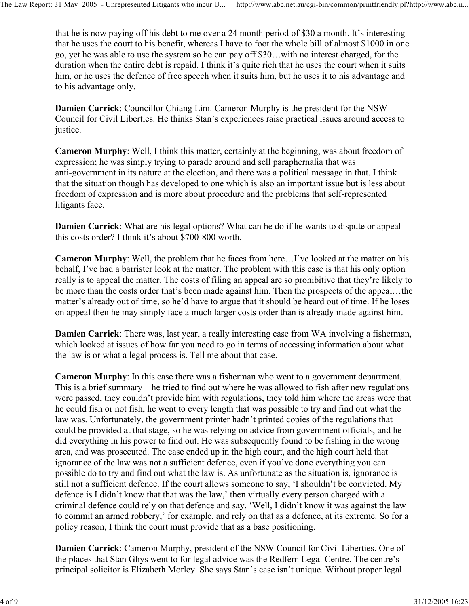that he is now paying off his debt to me over a 24 month period of \$30 a month. It's interesting that he uses the court to his benefit, whereas I have to foot the whole bill of almost \$1000 in one go, yet he was able to use the system so he can pay off \$30…with no interest charged, for the duration when the entire debt is repaid. I think it's quite rich that he uses the court when it suits him, or he uses the defence of free speech when it suits him, but he uses it to his advantage and to his advantage only.

**Damien Carrick**: Councillor Chiang Lim. Cameron Murphy is the president for the NSW Council for Civil Liberties. He thinks Stan's experiences raise practical issues around access to justice.

**Cameron Murphy**: Well, I think this matter, certainly at the beginning, was about freedom of expression; he was simply trying to parade around and sell paraphernalia that was anti-government in its nature at the election, and there was a political message in that. I think that the situation though has developed to one which is also an important issue but is less about freedom of expression and is more about procedure and the problems that self-represented litigants face.

**Damien Carrick**: What are his legal options? What can he do if he wants to dispute or appeal this costs order? I think it's about \$700-800 worth.

**Cameron Murphy**: Well, the problem that he faces from here…I've looked at the matter on his behalf, I've had a barrister look at the matter. The problem with this case is that his only option really is to appeal the matter. The costs of filing an appeal are so prohibitive that they're likely to be more than the costs order that's been made against him. Then the prospects of the appeal…the matter's already out of time, so he'd have to argue that it should be heard out of time. If he loses on appeal then he may simply face a much larger costs order than is already made against him.

**Damien Carrick**: There was, last year, a really interesting case from WA involving a fisherman, which looked at issues of how far you need to go in terms of accessing information about what the law is or what a legal process is. Tell me about that case.

**Cameron Murphy**: In this case there was a fisherman who went to a government department. This is a brief summary—he tried to find out where he was allowed to fish after new regulations were passed, they couldn't provide him with regulations, they told him where the areas were that he could fish or not fish, he went to every length that was possible to try and find out what the law was. Unfortunately, the government printer hadn't printed copies of the regulations that could be provided at that stage, so he was relying on advice from government officials, and he did everything in his power to find out. He was subsequently found to be fishing in the wrong area, and was prosecuted. The case ended up in the high court, and the high court held that ignorance of the law was not a sufficient defence, even if you've done everything you can possible do to try and find out what the law is. As unfortunate as the situation is, ignorance is still not a sufficient defence. If the court allows someone to say, 'I shouldn't be convicted. My defence is I didn't know that that was the law,' then virtually every person charged with a criminal defence could rely on that defence and say, 'Well, I didn't know it was against the law to commit an armed robbery,' for example, and rely on that as a defence, at its extreme. So for a policy reason, I think the court must provide that as a base positioning.

**Damien Carrick**: Cameron Murphy, president of the NSW Council for Civil Liberties. One of the places that Stan Ghys went to for legal advice was the Redfern Legal Centre. The centre's principal solicitor is Elizabeth Morley. She says Stan's case isn't unique. Without proper legal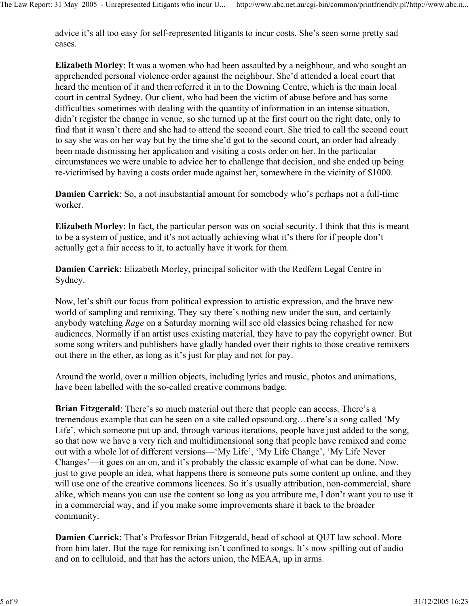advice it's all too easy for self-represented litigants to incur costs. She's seen some pretty sad cases.

**Elizabeth Morley**: It was a women who had been assaulted by a neighbour, and who sought an apprehended personal violence order against the neighbour. She'd attended a local court that heard the mention of it and then referred it in to the Downing Centre, which is the main local court in central Sydney. Our client, who had been the victim of abuse before and has some difficulties sometimes with dealing with the quantity of information in an intense situation, didn't register the change in venue, so she turned up at the first court on the right date, only to find that it wasn't there and she had to attend the second court. She tried to call the second court to say she was on her way but by the time she'd got to the second court, an order had already been made dismissing her application and visiting a costs order on her. In the particular circumstances we were unable to advice her to challenge that decision, and she ended up being re-victimised by having a costs order made against her, somewhere in the vicinity of \$1000.

**Damien Carrick**: So, a not insubstantial amount for somebody who's perhaps not a full-time worker.

**Elizabeth Morley**: In fact, the particular person was on social security. I think that this is meant to be a system of justice, and it's not actually achieving what it's there for if people don't actually get a fair access to it, to actually have it work for them.

**Damien Carrick**: Elizabeth Morley, principal solicitor with the Redfern Legal Centre in Sydney.

Now, let's shift our focus from political expression to artistic expression, and the brave new world of sampling and remixing. They say there's nothing new under the sun, and certainly anybody watching *Rage* on a Saturday morning will see old classics being rehashed for new audiences. Normally if an artist uses existing material, they have to pay the copyright owner. But some song writers and publishers have gladly handed over their rights to those creative remixers out there in the ether, as long as it's just for play and not for pay.

Around the world, over a million objects, including lyrics and music, photos and animations, have been labelled with the so-called creative commons badge.

**Brian Fitzgerald**: There's so much material out there that people can access. There's a tremendous example that can be seen on a site called opsound.org…there's a song called 'My Life', which someone put up and, through various iterations, people have just added to the song, so that now we have a very rich and multidimensional song that people have remixed and come out with a whole lot of different versions—'My Life', 'My Life Change', 'My Life Never Changes'—it goes on an on, and it's probably the classic example of what can be done. Now, just to give people an idea, what happens there is someone puts some content up online, and they will use one of the creative commons licences. So it's usually attribution, non-commercial, share alike, which means you can use the content so long as you attribute me, I don't want you to use it in a commercial way, and if you make some improvements share it back to the broader community.

**Damien Carrick**: That's Professor Brian Fitzgerald, head of school at QUT law school. More from him later. But the rage for remixing isn't confined to songs. It's now spilling out of audio and on to celluloid, and that has the actors union, the MEAA, up in arms.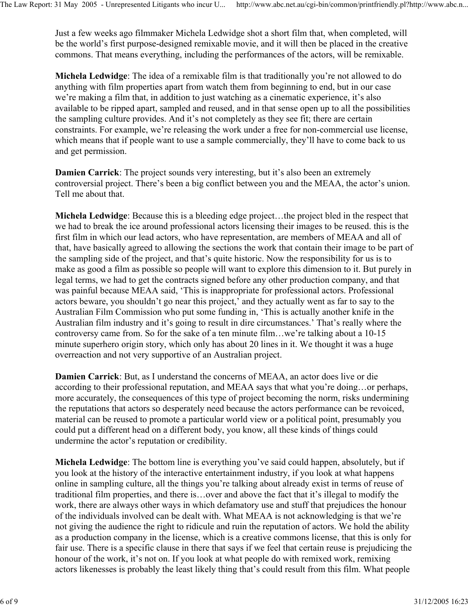Just a few weeks ago filmmaker Michela Ledwidge shot a short film that, when completed, will be the world's first purpose-designed remixable movie, and it will then be placed in the creative commons. That means everything, including the performances of the actors, will be remixable.

**Michela Ledwidge**: The idea of a remixable film is that traditionally you're not allowed to do anything with film properties apart from watch them from beginning to end, but in our case we're making a film that, in addition to just watching as a cinematic experience, it's also available to be ripped apart, sampled and reused, and in that sense open up to all the possibilities the sampling culture provides. And it's not completely as they see fit; there are certain constraints. For example, we're releasing the work under a free for non-commercial use license, which means that if people want to use a sample commercially, they'll have to come back to us and get permission.

**Damien Carrick**: The project sounds very interesting, but it's also been an extremely controversial project. There's been a big conflict between you and the MEAA, the actor's union. Tell me about that.

**Michela Ledwidge**: Because this is a bleeding edge project…the project bled in the respect that we had to break the ice around professional actors licensing their images to be reused. this is the first film in which our lead actors, who have representation, are members of MEAA and all of that, have basically agreed to allowing the sections the work that contain their image to be part of the sampling side of the project, and that's quite historic. Now the responsibility for us is to make as good a film as possible so people will want to explore this dimension to it. But purely in legal terms, we had to get the contracts signed before any other production company, and that was painful because MEAA said, 'This is inappropriate for professional actors. Professional actors beware, you shouldn't go near this project,' and they actually went as far to say to the Australian Film Commission who put some funding in, 'This is actually another knife in the Australian film industry and it's going to result in dire circumstances.' That's really where the controversy came from. So for the sake of a ten minute film…we're talking about a 10-15 minute superhero origin story, which only has about 20 lines in it. We thought it was a huge overreaction and not very supportive of an Australian project.

**Damien Carrick**: But, as I understand the concerns of MEAA, an actor does live or die according to their professional reputation, and MEAA says that what you're doing…or perhaps, more accurately, the consequences of this type of project becoming the norm, risks undermining the reputations that actors so desperately need because the actors performance can be revoiced, material can be reused to promote a particular world view or a political point, presumably you could put a different head on a different body, you know, all these kinds of things could undermine the actor's reputation or credibility.

**Michela Ledwidge**: The bottom line is everything you've said could happen, absolutely, but if you look at the history of the interactive entertainment industry, if you look at what happens online in sampling culture, all the things you're talking about already exist in terms of reuse of traditional film properties, and there is…over and above the fact that it's illegal to modify the work, there are always other ways in which defamatory use and stuff that prejudices the honour of the individuals involved can be dealt with. What MEAA is not acknowledging is that we're not giving the audience the right to ridicule and ruin the reputation of actors. We hold the ability as a production company in the license, which is a creative commons license, that this is only for fair use. There is a specific clause in there that says if we feel that certain reuse is prejudicing the honour of the work, it's not on. If you look at what people do with remixed work, remixing actors likenesses is probably the least likely thing that's could result from this film. What people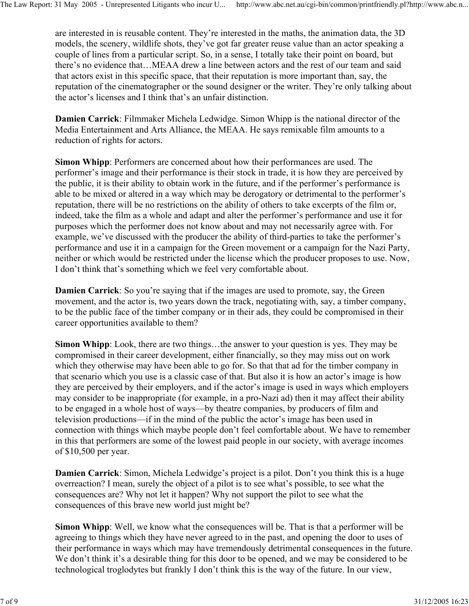are interested in is reusable content. They're interested in the maths, the animation data, the 3D models, the scenery, wildlife shots, they've got far greater reuse value than an actor speaking a couple of lines from a particular script. So, in a sense, I totally take their point on board, but there's no evidence that…MEAA drew a line between actors and the rest of our team and said that actors exist in this specific space, that their reputation is more important than, say, the reputation of the cinematographer or the sound designer or the writer. They're only talking about the actor's licenses and I think that's an unfair distinction.

**Damien Carrick**: Filmmaker Michela Ledwidge. Simon Whipp is the national director of the Media Entertainment and Arts Alliance, the MEAA. He says remixable film amounts to a reduction of rights for actors.

**Simon Whipp**: Performers are concerned about how their performances are used. The performer's image and their performance is their stock in trade, it is how they are perceived by the public, it is their ability to obtain work in the future, and if the performer's performance is able to be mixed or altered in a way which may be derogatory or detrimental to the performer's reputation, there will be no restrictions on the ability of others to take excerpts of the film or, indeed, take the film as a whole and adapt and alter the performer's performance and use it for purposes which the performer does not know about and may not necessarily agree with. For example, we've discussed with the producer the ability of third-parties to take the performer's performance and use it in a campaign for the Green movement or a campaign for the Nazi Party, neither or which would be restricted under the license which the producer proposes to use. Now, I don't think that's something which we feel very comfortable about.

**Damien Carrick**: So you're saying that if the images are used to promote, say, the Green movement, and the actor is, two years down the track, negotiating with, say, a timber company, to be the public face of the timber company or in their ads, they could be compromised in their career opportunities available to them?

**Simon Whipp**: Look, there are two things…the answer to your question is yes. They may be compromised in their career development, either financially, so they may miss out on work which they otherwise may have been able to go for. So that that ad for the timber company in that scenario which you use is a classic case of that. But also it is how an actor's image is how they are perceived by their employers, and if the actor's image is used in ways which employers may consider to be inappropriate (for example, in a pro-Nazi ad) then it may affect their ability to be engaged in a whole host of ways—by theatre companies, by producers of film and television productions—if in the mind of the public the actor's image has been used in connection with things which maybe people don't feel comfortable about. We have to remember in this that performers are some of the lowest paid people in our society, with average incomes of \$10,500 per year.

**Damien Carrick**: Simon, Michela Ledwidge's project is a pilot. Don't you think this is a huge overreaction? I mean, surely the object of a pilot is to see what's possible, to see what the consequences are? Why not let it happen? Why not support the pilot to see what the consequences of this brave new world just might be?

**Simon Whipp**: Well, we know what the consequences will be. That is that a performer will be agreeing to things which they have never agreed to in the past, and opening the door to uses of their performance in ways which may have tremendously detrimental consequences in the future. We don't think it's a desirable thing for this door to be opened, and we may be considered to be technological troglodytes but frankly I don't think this is the way of the future. In our view,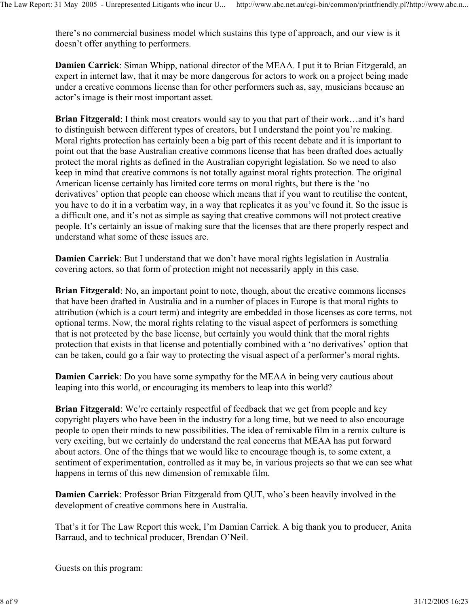there's no commercial business model which sustains this type of approach, and our view is it doesn't offer anything to performers.

**Damien Carrick**: Siman Whipp, national director of the MEAA. I put it to Brian Fitzgerald, an expert in internet law, that it may be more dangerous for actors to work on a project being made under a creative commons license than for other performers such as, say, musicians because an actor's image is their most important asset.

**Brian Fitzgerald**: I think most creators would say to you that part of their work…and it's hard to distinguish between different types of creators, but I understand the point you're making. Moral rights protection has certainly been a big part of this recent debate and it is important to point out that the base Australian creative commons license that has been drafted does actually protect the moral rights as defined in the Australian copyright legislation. So we need to also keep in mind that creative commons is not totally against moral rights protection. The original American license certainly has limited core terms on moral rights, but there is the 'no derivatives' option that people can choose which means that if you want to reutilise the content, you have to do it in a verbatim way, in a way that replicates it as you've found it. So the issue is a difficult one, and it's not as simple as saying that creative commons will not protect creative people. It's certainly an issue of making sure that the licenses that are there properly respect and understand what some of these issues are.

**Damien Carrick**: But I understand that we don't have moral rights legislation in Australia covering actors, so that form of protection might not necessarily apply in this case.

**Brian Fitzgerald**: No, an important point to note, though, about the creative commons licenses that have been drafted in Australia and in a number of places in Europe is that moral rights to attribution (which is a court term) and integrity are embedded in those licenses as core terms, not optional terms. Now, the moral rights relating to the visual aspect of performers is something that is not protected by the base license, but certainly you would think that the moral rights protection that exists in that license and potentially combined with a 'no derivatives' option that can be taken, could go a fair way to protecting the visual aspect of a performer's moral rights.

**Damien Carrick**: Do you have some sympathy for the MEAA in being very cautious about leaping into this world, or encouraging its members to leap into this world?

**Brian Fitzgerald**: We're certainly respectful of feedback that we get from people and key copyright players who have been in the industry for a long time, but we need to also encourage people to open their minds to new possibilities. The idea of remixable film in a remix culture is very exciting, but we certainly do understand the real concerns that MEAA has put forward about actors. One of the things that we would like to encourage though is, to some extent, a sentiment of experimentation, controlled as it may be, in various projects so that we can see what happens in terms of this new dimension of remixable film.

**Damien Carrick**: Professor Brian Fitzgerald from QUT, who's been heavily involved in the development of creative commons here in Australia.

That's it for The Law Report this week, I'm Damian Carrick. A big thank you to producer, Anita Barraud, and to technical producer, Brendan O'Neil.

Guests on this program: